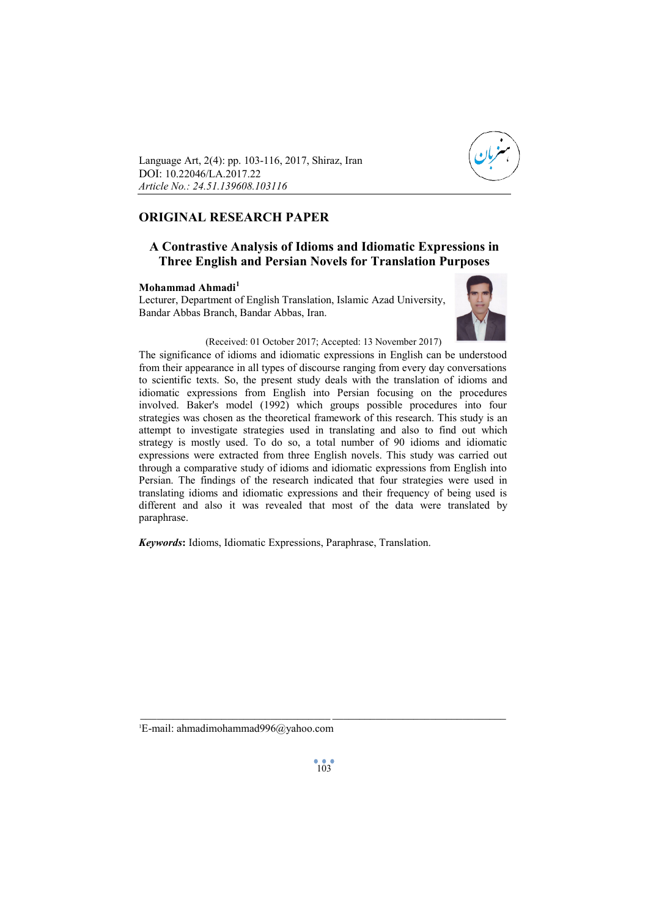

Language Art, 2(4): pp. 103-116, 2017, Shiraz, Iran DOI: 10.22046/LA.2017.22 *Article No.: 24.51.139608.103116*

# **ORIGINAL RESEARCH PAPER**

# **A Contrastive Analysis of Idioms and Idiomatic Expressions in Three English and Persian Novels for Translation Purposes**

# **Mohammad Ahmadi<sup>1</sup>**

Lecturer, Department of English Translation, Islamic Azad University, Bandar Abbas Branch, Bandar Abbas, Iran.



(Received: 01 October 2017; Accepted: 13 November 2017)

The significance of idioms and idiomatic expressions in English can be understood from their appearance in all types of discourse ranging from every day conversations to scientific texts. So, the present study deals with the translation of idioms and idiomatic expressions from English into Persian focusing on the procedures involved. Baker's model (1992) which groups possible procedures into four strategies was chosen as the theoretical framework of this research. This study is an attempt to investigate strategies used in translating and also to find out which strategy is mostly used. To do so, a total number of 90 idioms and idiomatic expressions were extracted from three English novels. This study was carried out through a comparative study of idioms and idiomatic expressions from English into Persian. The findings of the research indicated that four strategies were used in translating idioms and idiomatic expressions and their frequency of being used is different and also it was revealed that most of the data were translated by paraphrase.

*Keywords***:** Idioms, Idiomatic Expressions, Paraphrase, Translation.

1E-mail: ahmadimohammad996@yahoo.com

\_\_\_\_\_\_\_\_\_\_\_\_\_\_\_\_\_\_\_\_\_\_\_\_\_\_\_\_\_\_\_\_\_\_\_ \_\_\_\_\_\_\_\_\_\_\_\_\_\_\_\_\_\_\_\_\_\_\_\_\_\_\_\_\_\_\_\_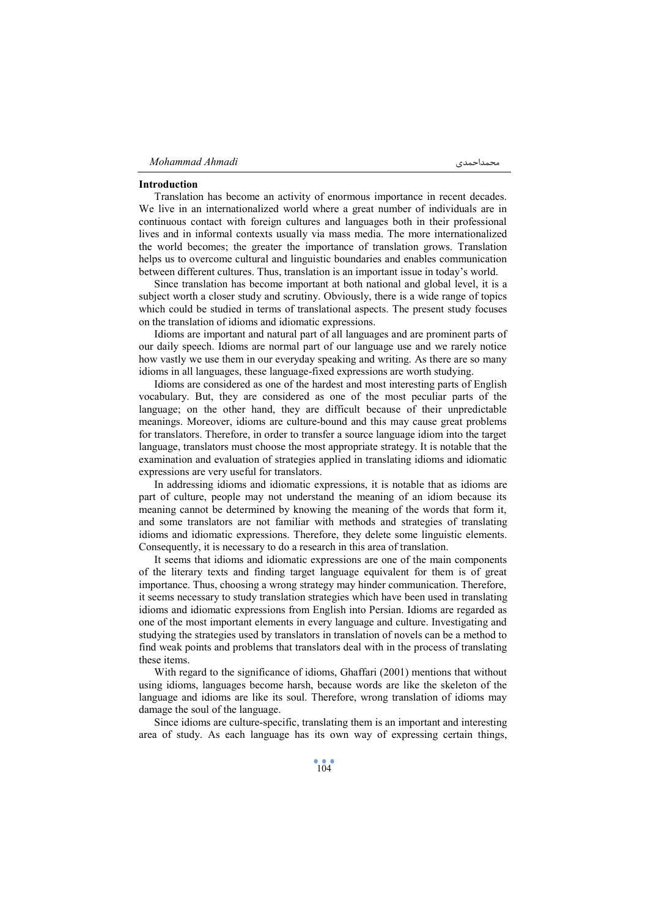#### **Introduction**

Translation has become an activity of enormous importance in recent decades. We live in an internationalized world where a great number of individuals are in continuous contact with foreign cultures and languages both in their professional lives and in informal contexts usually via mass media. The more internationalized the world becomes; the greater the importance of translation grows. Translation helps us to overcome cultural and linguistic boundaries and enables communication between different cultures. Thus, translation is an important issue in today's world.

Since translation has become important at both national and global level, it is a subject worth a closer study and scrutiny. Obviously, there is a wide range of topics which could be studied in terms of translational aspects. The present study focuses on the translation of idioms and idiomatic expressions.

Idioms are important and natural part of all languages and are prominent parts of our daily speech. Idioms are normal part of our language use and we rarely notice how vastly we use them in our everyday speaking and writing. As there are so many idioms in all languages, these language-fixed expressions are worth studying.

Idioms are considered as one of the hardest and most interesting parts of English vocabulary. But, they are considered as one of the most peculiar parts of the language; on the other hand, they are difficult because of their unpredictable meanings. Moreover, idioms are culture-bound and this may cause great problems for translators. Therefore, in order to transfer a source language idiom into the target language, translators must choose the most appropriate strategy. It is notable that the examination and evaluation of strategies applied in translating idioms and idiomatic expressions are very useful for translators.

In addressing idioms and idiomatic expressions, it is notable that as idioms are part of culture, people may not understand the meaning of an idiom because its meaning cannot be determined by knowing the meaning of the words that form it, and some translators are not familiar with methods and strategies of translating idioms and idiomatic expressions. Therefore, they delete some linguistic elements. Consequently, it is necessary to do a research in this area of translation.

It seems that idioms and idiomatic expressions are one of the main components of the literary texts and finding target language equivalent for them is of great importance. Thus, choosing a wrong strategy may hinder communication. Therefore, it seems necessary to study translation strategies which have been used in translating idioms and idiomatic expressions from English into Persian. Idioms are regarded as one of the most important elements in every language and culture. Investigating and studying the strategies used by translators in translation of novels can be a method to find weak points and problems that translators deal with in the process of translating these items.

With regard to the significance of idioms, Ghaffari (2001) mentions that without using idioms, languages become harsh, because words are like the skeleton of the language and idioms are like its soul. Therefore, wrong translation of idioms may damage the soul of the language.

Since idioms are culture-specific, translating them is an important and interesting area of study. As each language has its own way of expressing certain things,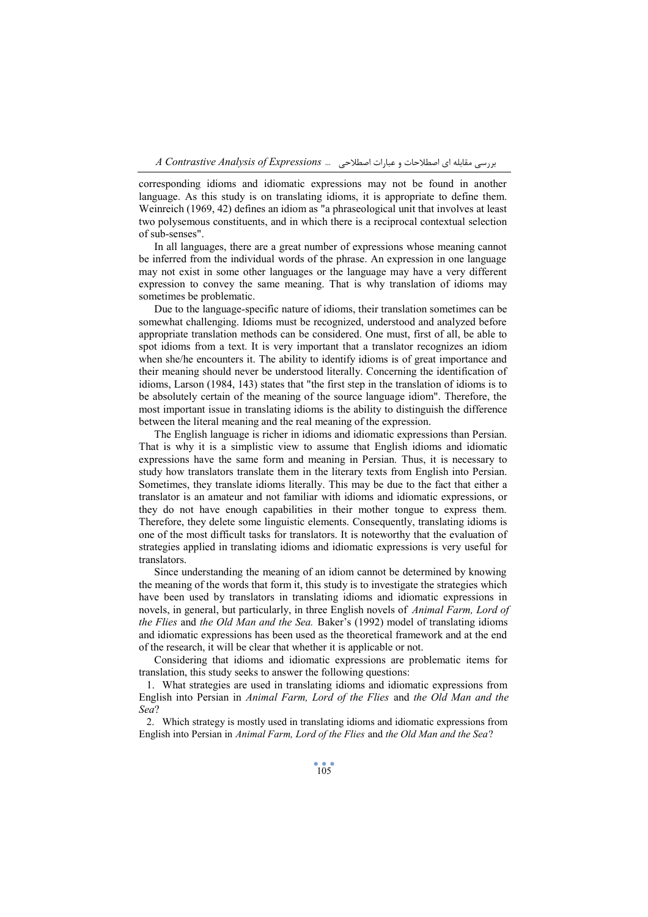corresponding idioms and idiomatic expressions may not be found in another language. As this study is on translating idioms, it is appropriate to define them. Weinreich (1969, 42) defines an idiom as "a phraseological unit that involves at least two polysemous constituents, and in which there is a reciprocal contextual selection of sub-senses".

In all languages, there are a great number of expressions whose meaning cannot be inferred from the individual words of the phrase. An expression in one language may not exist in some other languages or the language may have a very different expression to convey the same meaning. That is why translation of idioms may sometimes be problematic.

Due to the language-specific nature of idioms, their translation sometimes can be somewhat challenging. Idioms must be recognized, understood and analyzed before appropriate translation methods can be considered. One must, first of all, be able to spot idioms from a text. It is very important that a translator recognizes an idiom when she/he encounters it. The ability to identify idioms is of great importance and their meaning should never be understood literally. Concerning the identification of idioms, Larson (1984, 143) states that "the first step in the translation of idioms is to be absolutely certain of the meaning of the source language idiom". Therefore, the most important issue in translating idioms is the ability to distinguish the difference between the literal meaning and the real meaning of the expression.

The English language is richer in idioms and idiomatic expressions than Persian. That is why it is a simplistic view to assume that English idioms and idiomatic expressions have the same form and meaning in Persian. Thus, it is necessary to study how translators translate them in the literary texts from English into Persian. Sometimes, they translate idioms literally. This may be due to the fact that either a translator is an amateur and not familiar with idioms and idiomatic expressions, or they do not have enough capabilities in their mother tongue to express them. Therefore, they delete some linguistic elements. Consequently, translating idioms is one of the most difficult tasks for translators. It is noteworthy that the evaluation of strategies applied in translating idioms and idiomatic expressions is very useful for translators.

Since understanding the meaning of an idiom cannot be determined by knowing the meaning of the words that form it, this study is to investigate the strategies which have been used by translators in translating idioms and idiomatic expressions in novels, in general, but particularly, in three English novels of *Animal Farm, Lord of the Flies* and *the Old Man and the Sea.* Baker's (1992) model of translating idioms and idiomatic expressions has been used as the theoretical framework and at the end of the research, it will be clear that whether it is applicable or not.

Considering that idioms and idiomatic expressions are problematic items for translation, this study seeks to answer the following questions:

1. What strategies are used in translating idioms and idiomatic expressions from English into Persian in *Animal Farm, Lord of the Flies* and *the Old Man and the Sea*?

2. Which strategy is mostly used in translating idioms and idiomatic expressions from English into Persian in *Animal Farm, Lord of the Flies* and *the Old Man and the Sea*?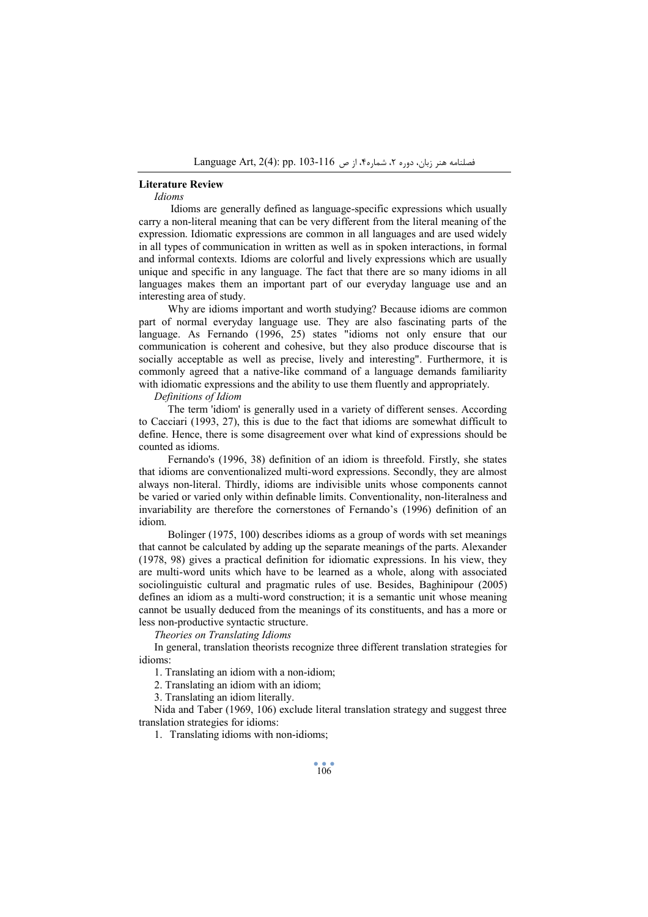### **Literature Review**

*Idioms* 

 Idioms are generally defined as language-specific expressions which usually carry a non-literal meaning that can be very different from the literal meaning of the expression. Idiomatic expressions are common in all languages and are used widely in all types of communication in written as well as in spoken interactions, in formal and informal contexts. Idioms are colorful and lively expressions which are usually unique and specific in any language. The fact that there are so many idioms in all languages makes them an important part of our everyday language use and an interesting area of study.

 Why are idioms important and worth studying? Because idioms are common part of normal everyday language use. They are also fascinating parts of the language. As Fernando (1996, 25) states "idioms not only ensure that our communication is coherent and cohesive, but they also produce discourse that is socially acceptable as well as precise, lively and interesting". Furthermore, it is commonly agreed that a native-like command of a language demands familiarity with idiomatic expressions and the ability to use them fluently and appropriately.

*Definitions of Idiom* 

 The term 'idiom' is generally used in a variety of different senses. According to Cacciari (1993, 27), this is due to the fact that idioms are somewhat difficult to define. Hence, there is some disagreement over what kind of expressions should be counted as idioms.

 Fernando's (1996, 38) definition of an idiom is threefold. Firstly, she states that idioms are conventionalized multi-word expressions. Secondly, they are almost always non-literal. Thirdly, idioms are indivisible units whose components cannot be varied or varied only within definable limits. Conventionality, non-literalness and invariability are therefore the cornerstones of Fernando's (1996) definition of an idiom.

 Bolinger (1975, 100) describes idioms as a group of words with set meanings that cannot be calculated by adding up the separate meanings of the parts. Alexander (1978, 98) gives a practical definition for idiomatic expressions. In his view, they are multi-word units which have to be learned as a whole, along with associated sociolinguistic cultural and pragmatic rules of use. Besides, Baghinipour (2005) defines an idiom as a multi-word construction; it is a semantic unit whose meaning cannot be usually deduced from the meanings of its constituents, and has a more or less non-productive syntactic structure.

*Theories on Translating Idioms* 

In general, translation theorists recognize three different translation strategies for idioms:

1. Translating an idiom with a non-idiom;

2. Translating an idiom with an idiom;

3. Translating an idiom literally.

Nida and Taber (1969, 106) exclude literal translation strategy and suggest three translation strategies for idioms:

1. Translating idioms with non-idioms;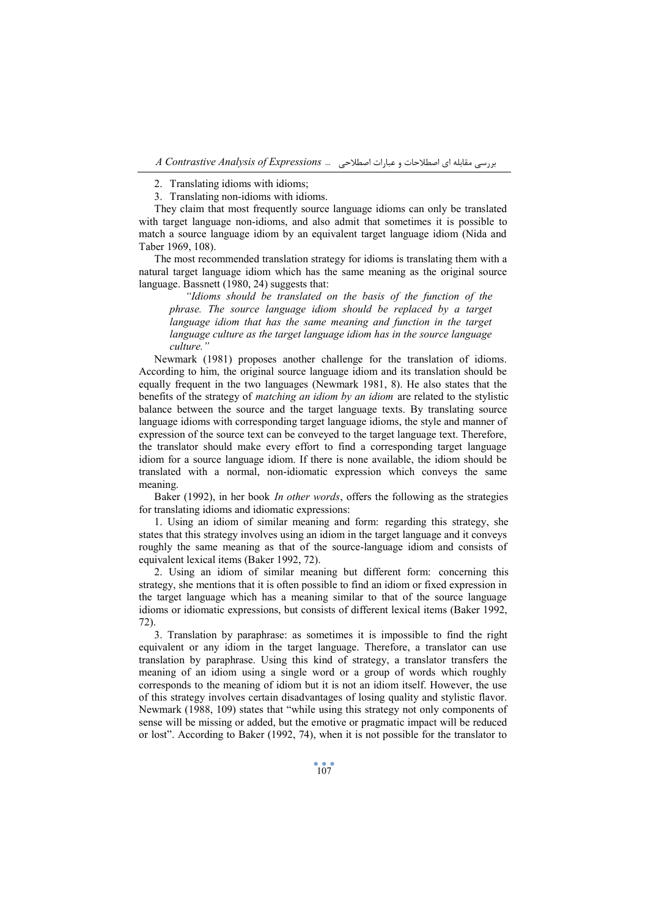3. Translating non-idioms with idioms.

They claim that most frequently source language idioms can only be translated with target language non-idioms, and also admit that sometimes it is possible to match a source language idiom by an equivalent target language idiom (Nida and Taber 1969, 108).

The most recommended translation strategy for idioms is translating them with a natural target language idiom which has the same meaning as the original source language. Bassnett (1980, 24) suggests that:

*"Idioms should be translated on the basis of the function of the phrase. The source language idiom should be replaced by a target language idiom that has the same meaning and function in the target language culture as the target language idiom has in the source language culture."* 

Newmark (1981) proposes another challenge for the translation of idioms. According to him, the original source language idiom and its translation should be equally frequent in the two languages (Newmark 1981, 8). He also states that the benefits of the strategy of *matching an idiom by an idiom* are related to the stylistic balance between the source and the target language texts. By translating source language idioms with corresponding target language idioms, the style and manner of expression of the source text can be conveyed to the target language text. Therefore, the translator should make every effort to find a corresponding target language idiom for a source language idiom. If there is none available, the idiom should be translated with a normal, non-idiomatic expression which conveys the same meaning.

Baker (1992), in her book *In other words*, offers the following as the strategies for translating idioms and idiomatic expressions:

1. Using an idiom of similar meaning and form: regarding this strategy, she states that this strategy involves using an idiom in the target language and it conveys roughly the same meaning as that of the source-language idiom and consists of equivalent lexical items (Baker 1992, 72).

2. Using an idiom of similar meaning but different form: concerning this strategy, she mentions that it is often possible to find an idiom or fixed expression in the target language which has a meaning similar to that of the source language idioms or idiomatic expressions, but consists of different lexical items (Baker 1992, 72).

3. Translation by paraphrase: as sometimes it is impossible to find the right equivalent or any idiom in the target language. Therefore, a translator can use translation by paraphrase. Using this kind of strategy, a translator transfers the meaning of an idiom using a single word or a group of words which roughly corresponds to the meaning of idiom but it is not an idiom itself. However, the use of this strategy involves certain disadvantages of losing quality and stylistic flavor. Newmark (1988, 109) states that "while using this strategy not only components of sense will be missing or added, but the emotive or pragmatic impact will be reduced or lost". According to Baker (1992, 74), when it is not possible for the translator to

<sup>2.</sup> Translating idioms with idioms;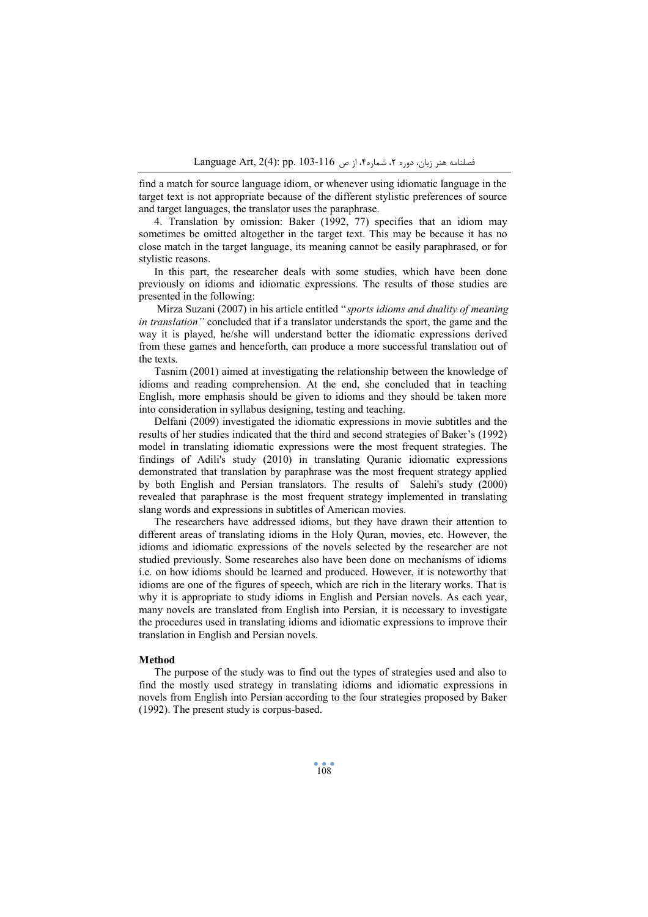find a match for source language idiom, or whenever using idiomatic language in the target text is not appropriate because of the different stylistic preferences of source and target languages, the translator uses the paraphrase.

4. Translation by omission: Baker (1992, 77) specifies that an idiom may sometimes be omitted altogether in the target text. This may be because it has no close match in the target language, its meaning cannot be easily paraphrased, or for stylistic reasons.

In this part, the researcher deals with some studies, which have been done previously on idioms and idiomatic expressions. The results of those studies are presented in the following:

 Mirza Suzani (2007) in his article entitled "*sports idioms and duality of meaning in translation"* concluded that if a translator understands the sport, the game and the way it is played, he/she will understand better the idiomatic expressions derived from these games and henceforth, can produce a more successful translation out of the texts.

Tasnim (2001) aimed at investigating the relationship between the knowledge of idioms and reading comprehension. At the end, she concluded that in teaching English, more emphasis should be given to idioms and they should be taken more into consideration in syllabus designing, testing and teaching.

Delfani (2009) investigated the idiomatic expressions in movie subtitles and the results of her studies indicated that the third and second strategies of Baker's (1992) model in translating idiomatic expressions were the most frequent strategies. The findings of Adili's study (2010) in translating Quranic idiomatic expressions demonstrated that translation by paraphrase was the most frequent strategy applied by both English and Persian translators. The results of Salehi's study (2000) revealed that paraphrase is the most frequent strategy implemented in translating slang words and expressions in subtitles of American movies.

The researchers have addressed idioms, but they have drawn their attention to different areas of translating idioms in the Holy Quran, movies, etc. However, the idioms and idiomatic expressions of the novels selected by the researcher are not studied previously. Some researches also have been done on mechanisms of idioms i.e. on how idioms should be learned and produced. However, it is noteworthy that idioms are one of the figures of speech, which are rich in the literary works. That is why it is appropriate to study idioms in English and Persian novels. As each year, many novels are translated from English into Persian, it is necessary to investigate the procedures used in translating idioms and idiomatic expressions to improve their translation in English and Persian novels.

#### **Method**

The purpose of the study was to find out the types of strategies used and also to find the mostly used strategy in translating idioms and idiomatic expressions in novels from English into Persian according to the four strategies proposed by Baker (1992). The present study is corpus-based.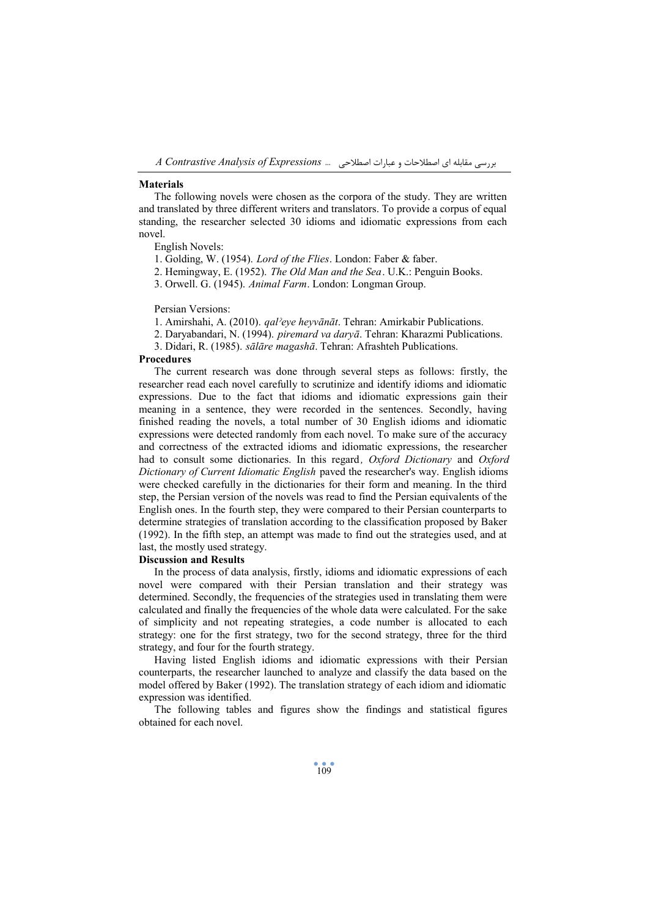بررسی مقابله اي اصطلاحات و عبارات اصطلاحی ... *Expressions of Analysis Contrastive A*

## **Materials**

The following novels were chosen as the corpora of the study. They are written and translated by three different writers and translators. To provide a corpus of equal standing, the researcher selected 30 idioms and idiomatic expressions from each novel.

English Novels:

1. Golding, W. (1954). *Lord of the Flies*. London: Faber & faber.

2. Hemingway, E. (1952). *The Old Man and the Sea*. U.K.: Penguin Books.

3. Orwell. G. (1945). *Animal Farm*. London: Longman Group.

#### Persian Versions:

1. Amirshahi, A. (2010). *qalˀeye heyvānāt*. Tehran: Amirkabir Publications.

2. Daryabandari, N. (1994). *piremard va daryā*. Tehran: Kharazmi Publications.

3. Didari, R. (1985). *sālāre magashā*. Tehran: Afrashteh Publications.

#### **Procedures**

The current research was done through several steps as follows: firstly, the researcher read each novel carefully to scrutinize and identify idioms and idiomatic expressions. Due to the fact that idioms and idiomatic expressions gain their meaning in a sentence, they were recorded in the sentences. Secondly, having finished reading the novels, a total number of 30 English idioms and idiomatic expressions were detected randomly from each novel. To make sure of the accuracy and correctness of the extracted idioms and idiomatic expressions, the researcher had to consult some dictionaries. In this regard*, Oxford Dictionary* and *Oxford Dictionary of Current Idiomatic English* paved the researcher's way. English idioms were checked carefully in the dictionaries for their form and meaning. In the third step, the Persian version of the novels was read to find the Persian equivalents of the English ones. In the fourth step, they were compared to their Persian counterparts to determine strategies of translation according to the classification proposed by Baker (1992). In the fifth step, an attempt was made to find out the strategies used, and at last, the mostly used strategy.

#### **Discussion and Results**

In the process of data analysis, firstly, idioms and idiomatic expressions of each novel were compared with their Persian translation and their strategy was determined. Secondly, the frequencies of the strategies used in translating them were calculated and finally the frequencies of the whole data were calculated. For the sake of simplicity and not repeating strategies, a code number is allocated to each strategy: one for the first strategy, two for the second strategy, three for the third strategy, and four for the fourth strategy.

Having listed English idioms and idiomatic expressions with their Persian counterparts, the researcher launched to analyze and classify the data based on the model offered by Baker (1992). The translation strategy of each idiom and idiomatic expression was identified.

The following tables and figures show the findings and statistical figures obtained for each novel.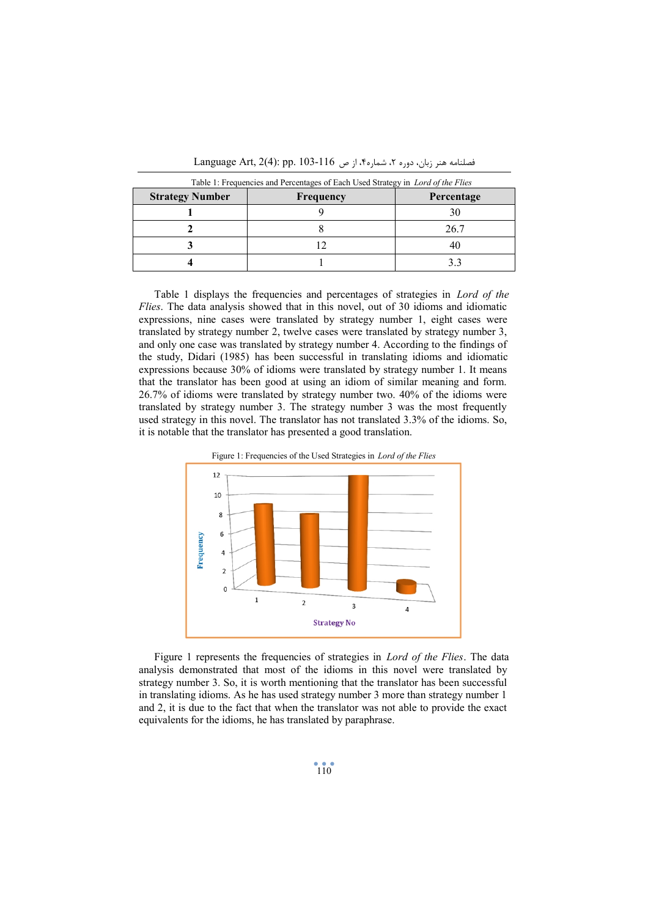| <b>Strategy Number</b> | Frequency | Percentage |  |
|------------------------|-----------|------------|--|
|                        |           |            |  |
|                        |           | 26.7       |  |
|                        |           |            |  |
|                        |           |            |  |

فصلنامه هنر زبان، دوره ۲، شماره۴، از ص 116-103 .Language Art, 2(4): pp. 103

Table 1 displays the frequencies and percentages of strategies in *Lord of the Flies*. The data analysis showed that in this novel, out of 30 idioms and idiomatic expressions, nine cases were translated by strategy number 1, eight cases were translated by strategy number 2, twelve cases were translated by strategy number 3, and only one case was translated by strategy number 4. According to the findings of the study, Didari (1985) has been successful in translating idioms and idiomatic expressions because 30% of idioms were translated by strategy number 1. It means that the translator has been good at using an idiom of similar meaning and form. 26.7% of idioms were translated by strategy number two. 40% of the idioms were translated by strategy number 3. The strategy number 3 was the most frequently used strategy in this novel. The translator has not translated 3.3% of the idioms. So, it is notable that the translator has presented a good translation.



Figure 1: Frequencies of the Used Strategies in *Lord of the Flies* 

Figure 1 represents the frequencies of strategies in *Lord of the Flies*. The data analysis demonstrated that most of the idioms in this novel were translated by strategy number 3. So, it is worth mentioning that the translator has been successful in translating idioms. As he has used strategy number 3 more than strategy number 1 and 2, it is due to the fact that when the translator was not able to provide the exact equivalents for the idioms, he has translated by paraphrase.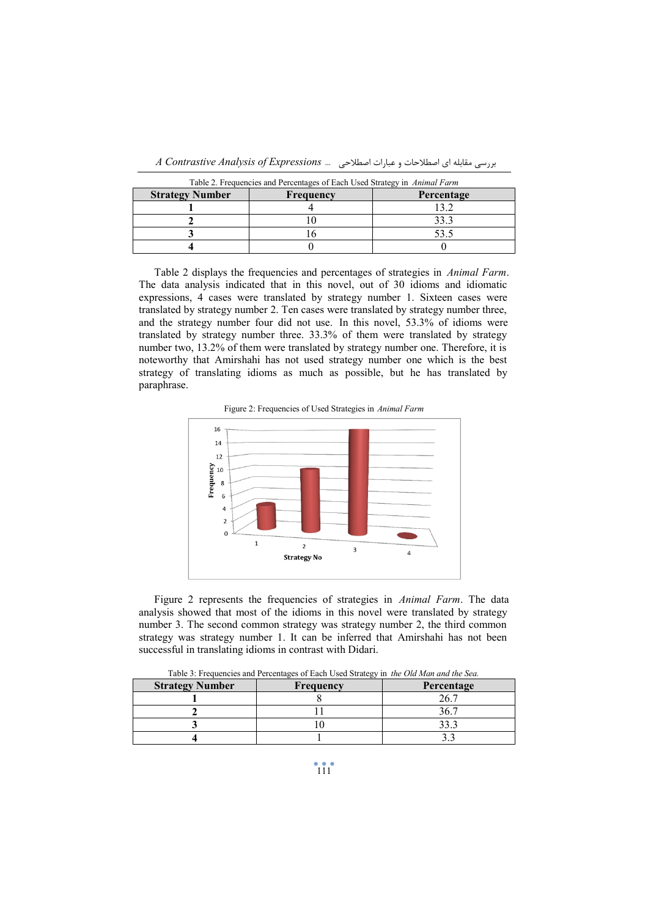| Table 2. Frequencies and Percentages of Each Used Strategy in Animal Farm |           |            |  |
|---------------------------------------------------------------------------|-----------|------------|--|
| <b>Strategy Number</b>                                                    | Frequency | Percentage |  |
|                                                                           |           |            |  |
|                                                                           |           |            |  |
|                                                                           |           |            |  |

**4** 0 0

بررسی مقابله اي اصطلاحات و عبارات اصطلاحی ... *Expressions of Analysis Contrastive A*

Table 2 displays the frequencies and percentages of strategies in *Animal Farm*. The data analysis indicated that in this novel, out of 30 idioms and idiomatic expressions, 4 cases were translated by strategy number 1. Sixteen cases were translated by strategy number 2. Ten cases were translated by strategy number three, and the strategy number four did not use. In this novel, 53.3% of idioms were translated by strategy number three. 33.3% of them were translated by strategy number two, 13.2% of them were translated by strategy number one. Therefore, it is noteworthy that Amirshahi has not used strategy number one which is the best strategy of translating idioms as much as possible, but he has translated by paraphrase.

Figure 2: Frequencies of Used Strategies in *Animal Farm* 



Figure 2 represents the frequencies of strategies in *Animal Farm*. The data analysis showed that most of the idioms in this novel were translated by strategy number 3. The second common strategy was strategy number 2, the third common strategy was strategy number 1. It can be inferred that Amirshahi has not been successful in translating idioms in contrast with Didari.

| <b>Strategy Number</b> | Frequency | Percentage |  |
|------------------------|-----------|------------|--|
|                        |           |            |  |
|                        |           |            |  |
|                        |           |            |  |
|                        |           |            |  |

| Table 3: Frequencies and Percentages of Each Used Strategy in <i>the Old Man and the Sea</i> . |  |  |
|------------------------------------------------------------------------------------------------|--|--|
|------------------------------------------------------------------------------------------------|--|--|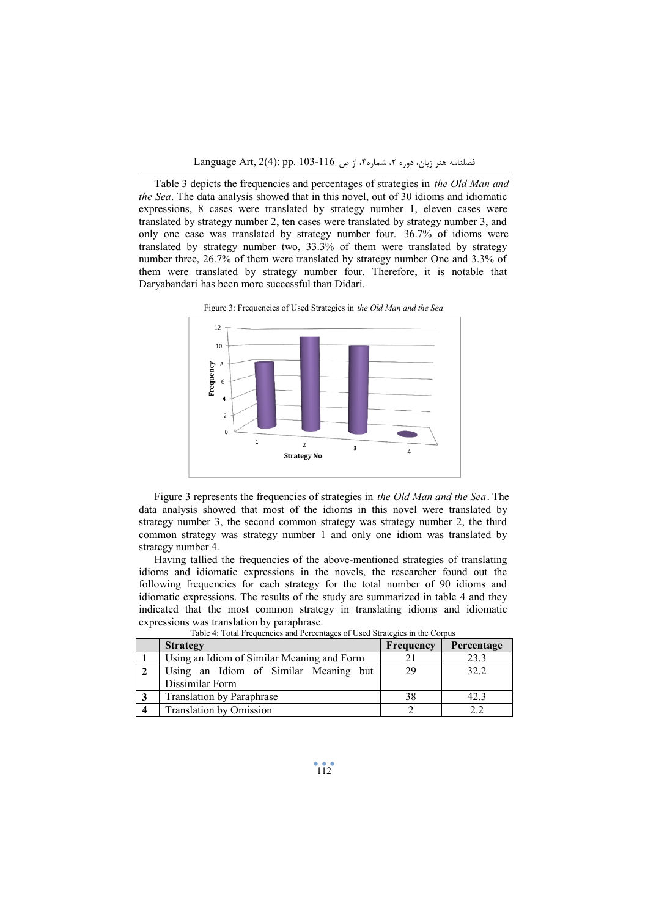Table 3 depicts the frequencies and percentages of strategies in *the Old Man and the Sea*. The data analysis showed that in this novel, out of 30 idioms and idiomatic expressions, 8 cases were translated by strategy number 1, eleven cases were translated by strategy number 2, ten cases were translated by strategy number 3, and only one case was translated by strategy number four. 36.7% of idioms were translated by strategy number two, 33.3% of them were translated by strategy number three, 26.7% of them were translated by strategy number One and 3.3% of them were translated by strategy number four. Therefore, it is notable that Daryabandari has been more successful than Didari.





Figure 3 represents the frequencies of strategies in *the Old Man and the Sea*. The data analysis showed that most of the idioms in this novel were translated by strategy number 3, the second common strategy was strategy number 2, the third common strategy was strategy number 1 and only one idiom was translated by strategy number 4.

Having tallied the frequencies of the above-mentioned strategies of translating idioms and idiomatic expressions in the novels, the researcher found out the following frequencies for each strategy for the total number of 90 idioms and idiomatic expressions. The results of the study are summarized in table 4 and they indicated that the most common strategy in translating idioms and idiomatic expressions was translation by paraphrase.

|   | <b>Strategy</b>                            | Frequency | Percentage |
|---|--------------------------------------------|-----------|------------|
|   | Using an Idiom of Similar Meaning and Form |           | 23.3       |
| 2 | Using an Idiom of Similar Meaning but      | 29        | 32.2       |
|   | Dissimilar Form                            |           |            |
|   | <b>Translation by Paraphrase</b>           | 38        | 42.3       |
| 4 | <b>Translation by Omission</b>             |           |            |

Table 4: Total Frequencies and Percentages of Used Strategies in the Corpus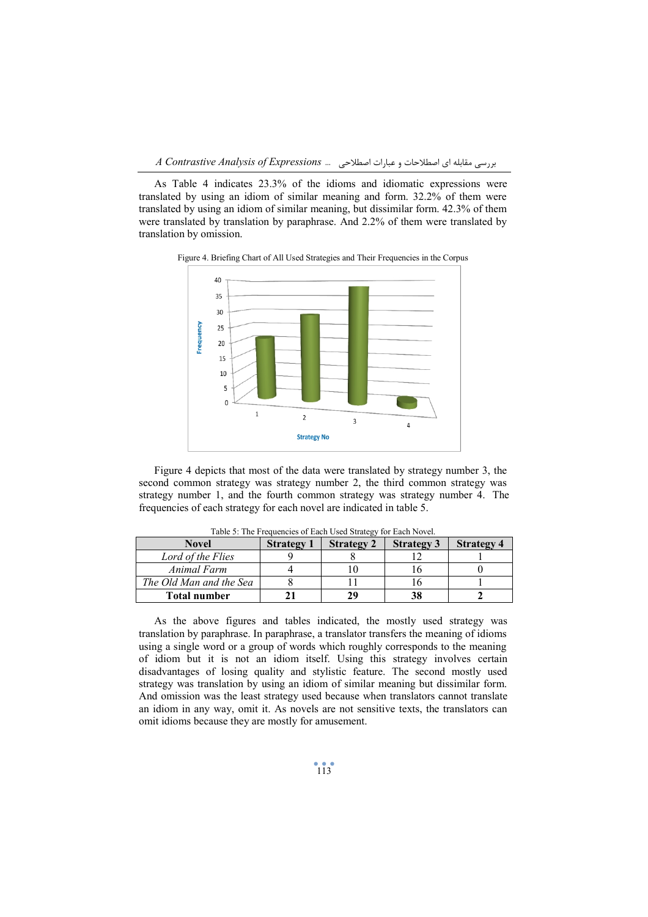بررسی مقابله اي اصطلاحات و عبارات اصطلاحی ... *Expressions of Analysis Contrastive A*

As Table 4 indicates 23.3% of the idioms and idiomatic expressions were translated by using an idiom of similar meaning and form. 32.2% of them were translated by using an idiom of similar meaning, but dissimilar form. 42.3% of them were translated by translation by paraphrase. And 2.2% of them were translated by translation by omission.



Figure 4. Briefing Chart of All Used Strategies and Their Frequencies in the Corpus

Figure 4 depicts that most of the data were translated by strategy number 3, the second common strategy was strategy number 2, the third common strategy was strategy number 1, and the fourth common strategy was strategy number 4. The frequencies of each strategy for each novel are indicated in table 5.

| Tuble 5. The Frequencies of Each Osca Budies, for Each Forter.<br><b>Novel</b> | <b>Strategy 1</b> | <b>Strategy 2</b> | <b>Strategy 3</b> | <b>Strategy 4</b> |
|--------------------------------------------------------------------------------|-------------------|-------------------|-------------------|-------------------|
| Lord of the Flies                                                              |                   |                   |                   |                   |
| Animal Farm                                                                    |                   |                   |                   |                   |
| The Old Man and the Sea                                                        |                   |                   |                   |                   |
| <b>Total number</b>                                                            |                   |                   | 38                |                   |

Table 5: The Frequencies of Each Used Strategy for Each Novel.

As the above figures and tables indicated, the mostly used strategy was translation by paraphrase. In paraphrase, a translator transfers the meaning of idioms using a single word or a group of words which roughly corresponds to the meaning of idiom but it is not an idiom itself. Using this strategy involves certain disadvantages of losing quality and stylistic feature. The second mostly used strategy was translation by using an idiom of similar meaning but dissimilar form. And omission was the least strategy used because when translators cannot translate an idiom in any way, omit it. As novels are not sensitive texts, the translators can omit idioms because they are mostly for amusement.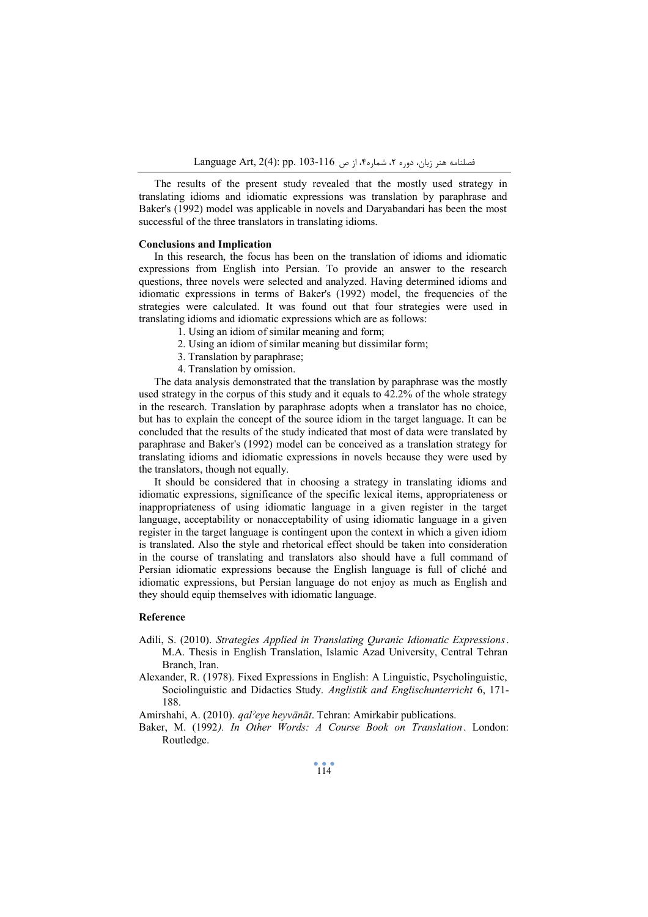The results of the present study revealed that the mostly used strategy in translating idioms and idiomatic expressions was translation by paraphrase and Baker's (1992) model was applicable in novels and Daryabandari has been the most successful of the three translators in translating idioms.

# **Conclusions and Implication**

In this research, the focus has been on the translation of idioms and idiomatic expressions from English into Persian. To provide an answer to the research questions, three novels were selected and analyzed. Having determined idioms and idiomatic expressions in terms of Baker's (1992) model, the frequencies of the strategies were calculated. It was found out that four strategies were used in translating idioms and idiomatic expressions which are as follows:

- 1. Using an idiom of similar meaning and form;
- 2. Using an idiom of similar meaning but dissimilar form;
- 3. Translation by paraphrase;
- 4. Translation by omission.

The data analysis demonstrated that the translation by paraphrase was the mostly used strategy in the corpus of this study and it equals to 42.2% of the whole strategy in the research. Translation by paraphrase adopts when a translator has no choice, but has to explain the concept of the source idiom in the target language. It can be concluded that the results of the study indicated that most of data were translated by paraphrase and Baker's (1992) model can be conceived as a translation strategy for translating idioms and idiomatic expressions in novels because they were used by the translators, though not equally.

It should be considered that in choosing a strategy in translating idioms and idiomatic expressions, significance of the specific lexical items, appropriateness or inappropriateness of using idiomatic language in a given register in the target language, acceptability or nonacceptability of using idiomatic language in a given register in the target language is contingent upon the context in which a given idiom is translated. Also the style and rhetorical effect should be taken into consideration in the course of translating and translators also should have a full command of Persian idiomatic expressions because the English language is full of cliché and idiomatic expressions, but Persian language do not enjoy as much as English and they should equip themselves with idiomatic language.

## **Reference**

- Adili, S. (2010). *Strategies Applied in Translating Quranic Idiomatic Expressions*. M.A. Thesis in English Translation, Islamic Azad University, Central Tehran Branch, Iran.
- Alexander, R. (1978). Fixed Expressions in English: A Linguistic, Psycholinguistic, Sociolinguistic and Didactics Study. *Anglistik and Englischunterricht* 6, 171- 188.
- Amirshahi, A. (2010). *qalˀeye heyvānāt*. Tehran: Amirkabir publications.
- Baker, M. (1992*). In Other Words: A Course Book on Translation*. London: Routledge.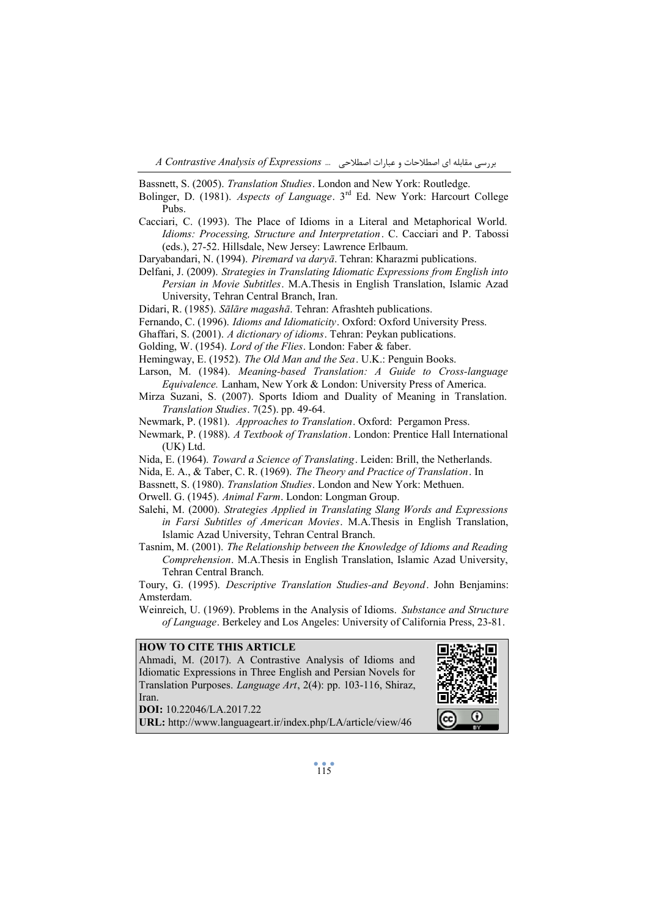بررسی مقابله اي اصطلاحات و عبارات اصطلاحی ... *Expressions of Analysis Contrastive A*

Bassnett, S. (2005). *Translation Studies*. London and New York: Routledge.

- Bolinger, D. (1981). *Aspects of Language*. 3rd Ed. New York: Harcourt College Pubs.
- Cacciari, C. (1993). The Place of Idioms in a Literal and Metaphorical World. *Idioms: Processing, Structure and Interpretation*. C. Cacciari and P. Tabossi (eds.), 27-52. Hillsdale, New Jersey: Lawrence Erlbaum.
- Daryabandari, N. (1994). *Piremard va daryā*. Tehran: Kharazmi publications.
- Delfani, J. (2009). *Strategies in Translating Idiomatic Expressions from English into Persian in Movie Subtitles*. M.A.Thesis in English Translation, Islamic Azad University, Tehran Central Branch, Iran.
- Didari, R. (1985). *Sālāre magashā*. Tehran: Afrashteh publications.
- Fernando, C. (1996). *Idioms and Idiomaticity*. Oxford: Oxford University Press.
- Ghaffari, S. (2001). *A dictionary of idioms*. Tehran: Peykan publications.
- Golding, W. (1954). *Lord of the Flies*. London: Faber & faber.
- Hemingway, E. (1952). *The Old Man and the Sea*. U.K.: Penguin Books.
- Larson, M. (1984). *Meaning-based Translation: A Guide to Cross-language Equivalence.* Lanham, New York & London: University Press of America.
- Mirza Suzani, S. (2007). Sports Idiom and Duality of Meaning in Translation. *Translation Studies*. 7(25). pp. 49-64.
- Newmark, P. (1981). *Approaches to Translation*. Oxford: Pergamon Press.
- Newmark, P. (1988). *A Textbook of Translation*. London: Prentice Hall International (UK) Ltd.
- Nida, E. (1964). *Toward a Science of Translating*. Leiden: Brill, the Netherlands.
- Nida, E. A., & Taber, C. R. (1969). *The Theory and Practice of Translation*. In
- Bassnett, S. (1980). *Translation Studies*. London and New York: Methuen.
- Orwell. G. (1945). *Animal Farm*. London: Longman Group.
- Salehi, M. (2000). *Strategies Applied in Translating Slang Words and Expressions in Farsi Subtitles of American Movies*. M.A.Thesis in English Translation, Islamic Azad University, Tehran Central Branch.
- Tasnim, M. (2001). *The Relationship between the Knowledge of Idioms and Reading Comprehension*. M.A.Thesis in English Translation, Islamic Azad University, Tehran Central Branch.

Toury, G. (1995). *Descriptive Translation Studies-and Beyond*. John Benjamins: Amsterdam.

Weinreich, U. (1969). Problems in the Analysis of Idioms. *Substance and Structure of Language*. Berkeley and Los Angeles: University of California Press, 23-81.

### **HOW TO CITE THIS ARTICLE**

Ahmadi, M. (2017). A Contrastive Analysis of Idioms and Idiomatic Expressions in Three English and Persian Novels for Translation Purposes. *Language Art*, 2(4): pp. 103-116, Shiraz, Iran.

**DOI:** 10.22046/LA.2017.22



**URL:** http://www.languageart.ir/index.php/LA/article/view/46